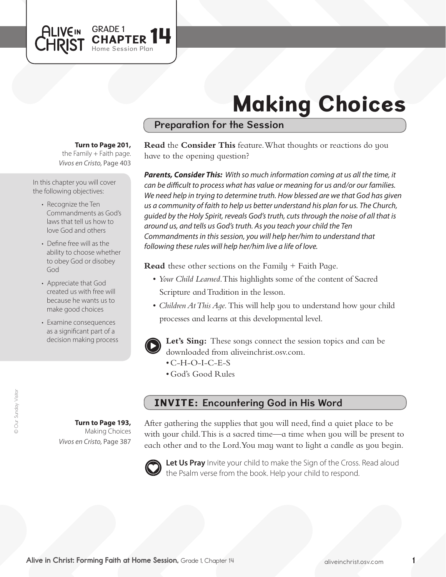

# Making Choices

## Preparation for the Session

#### **Turn to Page 201,**

*Vivos en Cristo,* Page 403 the Family  $+$  Faith page.

In this chapter you will cover the following objectives:

- Recognize the Ten Commandments as God's laws that tell us how to love God and others
- Define free will as the ability to choose whether to obey God or disobey God
- Appreciate that God created us with free will because he wants us to make good choices
- Examine consequences as a significant part of a decision making process

**Turn to Page 193,** Making Choices

*Vivos en Cristo,* Page 387

**Read** the **Consider This** feature. What thoughts or reactions do you have to the opening question?

*Parents, Consider This: With so much information coming at us all the time, it can be difficult to process what has value or meaning for us and/or our families. We need help in trying to determine truth. How blessed are we that God has given us a community of faith to help us better understand his plan for us. The Church, guided by the Holy Spirit, reveals God's truth, cuts through the noise of all that is around us, and tells us God's truth. As you teach your child the Ten Commandments in this session, you will help her/him to understand that following these rules will help her/him live a life of love.*

**Read** these other sections on the Family + Faith Page.

- • *Your Child Learned*. This highlights some of the content of Sacred Scripture and Tradition in the lesson.
- *Children At This Age*. This will help you to understand how your child processes and learns at this developmental level.



**Let's Sing:** These songs connect the session topics and can be downloaded from aliveinchrist.osv.com.

- $\cdot$  C-H-O-I-C-E-S
- • God's Good Rules

# INVITE: Encountering God in His Word

After gathering the supplies that you will need, find a quiet place to be with your child. This is a sacred time—a time when you will be present to each other and to the Lord. You may want to light a candle as you begin.



Let Us Pray Invite your child to make the Sign of the Cross. Read aloud the Psalm verse from the book. Help your child to respond.

Alive in Christ: Forming Faith at Home Session, Grade 1, Chapter 14 **Alive in Christ** Constructions Aliveinchrist.osv.com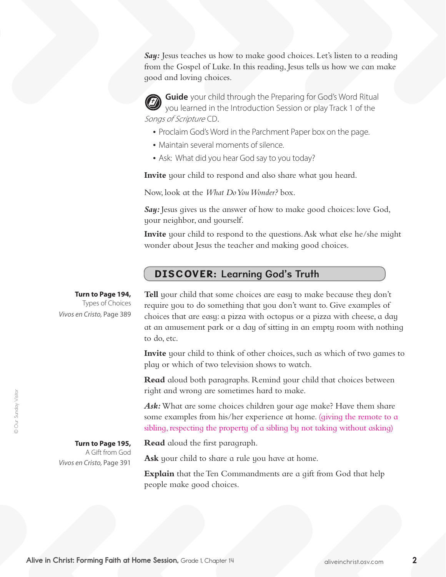Say: Jesus teaches us how to make good choices. Let's listen to a reading from the Gospel of Luke. In this reading, Jesus tells us how we can make good and loving choices.

**Guide** your child through the Preparing for God's Word Ritual you learned in the Introduction Session or play Track 1 of the Songs of Scripture CD.

- Proclaim God's Word in the Parchment Paper box on the page.
- Maintain several moments of silence.
- Ask: What did you hear God say to you today?

**Invite** your child to respond and also share what you heard.

Now, look at the *What Do You Wonder?* box.

**Say:** Jesus gives us the answer of how to make good choices: love God, your neighbor, and yourself.

**Invite** your child to respond to the questions. Ask what else he/she might wonder about Jesus the teacher and making good choices.

### DISCOVER: Learning God's Truth

**Turn to Page 194,**

Types of Choices *Vivos en Cristo,* Page 389 **Tell** your child that some choices are easy to make because they don't require you to do something that you don't want to. Give examples of choices that are easy: a pizza with octopus or a pizza with cheese, a day at an amusement park or a day of sitting in an empty room with nothing to do, etc.

**Invite** your child to think of other choices, such as which of two games to play or which of two television shows to watch.

**Read** aloud both paragraphs. Remind your child that choices between right and wrong are sometimes hard to make.

Ask: What are some choices children your age make? Have them share some examples from his/her experience at home. (giving the remote to a sibling, respecting the property of a sibling by not taking without asking)

**Read** aloud the first paragraph.

Ask your child to share a rule you have at home.

**Explain** that the Ten Commandments are a gift from God that help people make good choices.

**Turn to Page 195,**  A Gift from God *Vivos en Cristo,* Page 391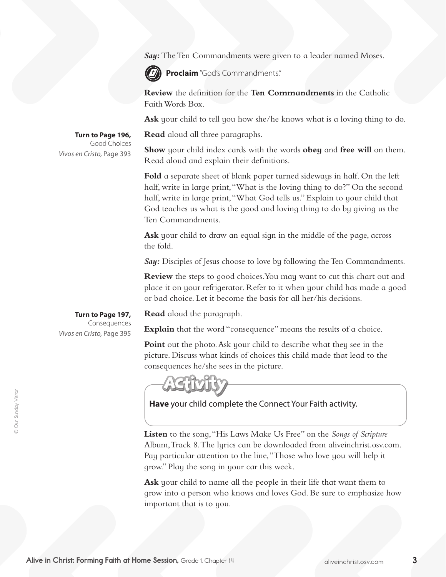**Say:** The Ten Commandments were given to a leader named Moses.



**Proclaim** "God's Commandments."

**Review** the definition for the **Ten Commandments** in the Catholic Faith Words Box.

**Ask** your child to tell you how she/he knows what is a loving thing to do.

**Read** aloud all three paragraphs.

**Show** your child index cards with the words **obey** and **free will** on them. Read aloud and explain their definitions.

**Fold** a separate sheet of blank paper turned sideways in half. On the left half, write in large print, "What is the loving thing to do?" On the second half, write in large print,"What God tells us." Explain to your child that God teaches us what is the good and loving thing to do by giving us the Ten Commandments.

**Ask** your child to draw an equal sign in the middle of the page, across the fold.

*Say:* Disciples of Jesus choose to love by following the Ten Commandments.

**Review** the steps to good choices. You may want to cut this chart out and place it on your refrigerator. Refer to it when your child has made a good or bad choice. Let it become the basis for all her/his decisions.

**Turn to Page 197,**

**Turn to Page 196,** Good Choices

*Vivos en Cristo,* Page 393

Consequences *Vivos en Cristo,* Page 395

**Read** aloud the paragraph.

**Explain** that the word "consequence" means the results of a choice.

**Point** out the photo. Ask your child to describe what they see in the picture. Discuss what kinds of choices this child made that lead to the consequences he/she sees in the picture.

**Have** your child complete the Connect Your Faith activity.

**Listen** to the song,"His Laws Make Us Free" on the *Songs of Scripture* Album, Track 8. The lyrics can be downloaded from aliveinchrist.osv.com. Pay particular attention to the line, "Those who love you will help it grow." Play the song in your car this week.

**Ask** your child to name all the people in their life that want them to grow into a person who knows and loves God. Be sure to emphasize how important that is to you.